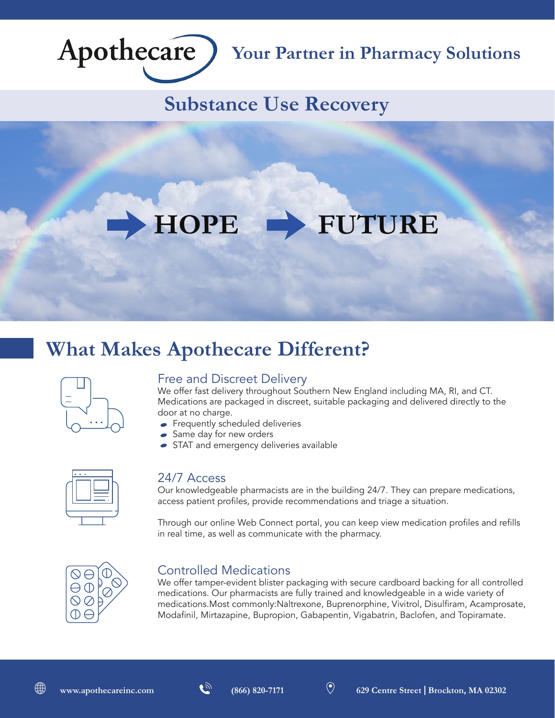

## **Your Partner in Pharmacy Solutions**

## **Substance Use Recovery**

# **HOPE FUTURE**

## **What Makes Apothecare Different?**



#### Free and Discreet Delivery

We offer fast delivery throughout Southern New England including MA, RI, and CT. Medications are packaged in discreet, suitable packaging and delivered directly to the door at no charge.

- **Frequently scheduled deliveries**
- Same day for new orders
- STAT and emergency deliveries available



#### 24/7 Access

Our knowledgeable pharmacists are in the building 24/7. They can prepare medications, access patient profiles, provide recommendations and triage a situation.

Through our online Web Connect portal, you can keep view medication profiles and refills in real time, as well as communicate with the pharmacy.



#### Controlled Medications

We offer tamper-evident blister packaging with secure cardboard backing for all controlled medications. Our pharmacists are fully trained and knowledgeable in a wide variety of medications.Most commonly:Naltrexone, Buprenorphine, Vivitrol, Disulfiram, Acamprosate, Modafinil, Mirtazapine, Bupropion, Gabapentin, Vigabatrin, Baclofen, and Topiramate.